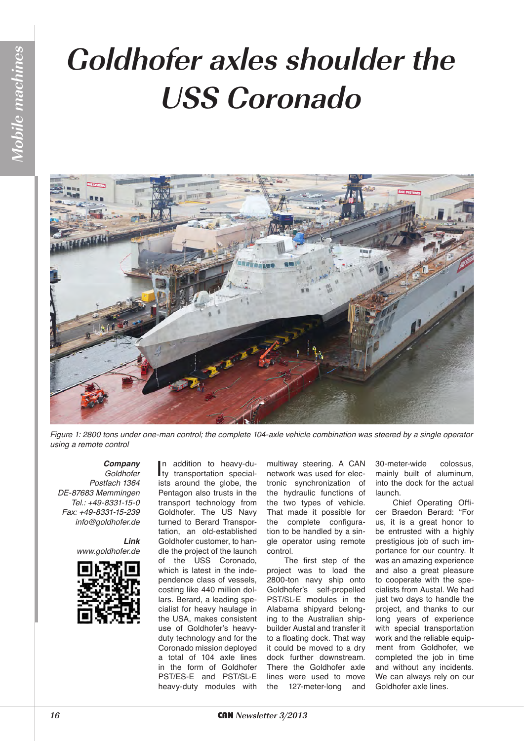## **Goldhofer axles shoulder the USS Coronado**



Figure 1: 2800 tons under one-man control; the complete 104-axle vehicle combination was steered by a single operator *using a remote control*

**Company**

*Goldhofer* Postfach 1364 DE-87683 Memmingen Tel.: +49-8331-15-0 Fax: +49-8331-15-239 *info@goldhofer.de*

> **Link** *www.goldhofer.de*



In addition to heavy-du-<br>ty transportation special-<br>inte ground the globe the n addition to heavy-duists around the globe, the Pentagon also trusts in the transport technology from Goldhofer. The US Navy turned to Berard Transportation, an old-established Goldhofer customer, to handle the project of the launch of the USS Coronado, which is latest in the independence class of vessels, costing like 440 million dollars. Berard, a leading specialist for heavy haulage in the USA, makes consistent use of Goldhofer's heavyduty technology and for the Coronado mission deployed a total of 104 axle lines in the form of Goldhofer PST/ES-E and PST/SL-E heavy-duty modules with

multiway steering. A CAN network was used for electronic synchronization of the hydraulic functions of the two types of vehicle. That made it possible for the complete configuration to be handled by a single operator using remote control.

The first step of the project was to load the 2800-ton navy ship onto Goldhofer's self-propelled PST/SL-E modules in the Alabama shipyard belonging to the Australian shipbuilder Austal and transfer it to a floating dock. That way it could be moved to a dry dock further downstream. There the Goldhofer axle lines were used to move the 127-meter-long and

30-meter-wide colossus, mainly built of aluminum, into the dock for the actual launch.

Chief Operating Officer Braedon Berard: "For us, it is a great honor to be entrusted with a highly prestigious job of such importance for our country. It was an amazing experience and also a great pleasure to cooperate with the specialists from Austal. We had just two days to handle the project, and thanks to our long years of experience with special transportation work and the reliable equipment from Goldhofer, we completed the job in time and without any incidents. We can always rely on our Goldhofer axle lines.